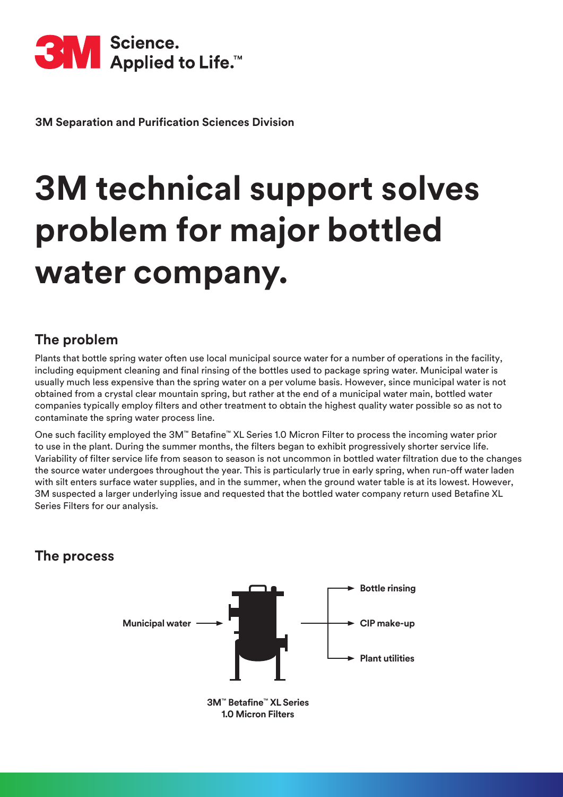

**3M Separation and Purification Sciences Division**

# **3M technical support solves problem for major bottled water company.**

#### **The problem**

Plants that bottle spring water often use local municipal source water for a number of operations in the facility, including equipment cleaning and final rinsing of the bottles used to package spring water. Municipal water is usually much less expensive than the spring water on a per volume basis. However, since municipal water is not obtained from a crystal clear mountain spring, but rather at the end of a municipal water main, bottled water companies typically employ filters and other treatment to obtain the highest quality water possible so as not to contaminate the spring water process line.

One such facility employed the 3M™ Betafine™ XL Series 1.0 Micron Filter to process the incoming water prior to use in the plant. During the summer months, the filters began to exhibit progressively shorter service life. Variability of filter service life from season to season is not uncommon in bottled water filtration due to the changes the source water undergoes throughout the year. This is particularly true in early spring, when run-off water laden with silt enters surface water supplies, and in the summer, when the ground water table is at its lowest. However, 3M suspected a larger underlying issue and requested that the bottled water company return used Betafine XL Series Filters for our analysis.

#### **The process**